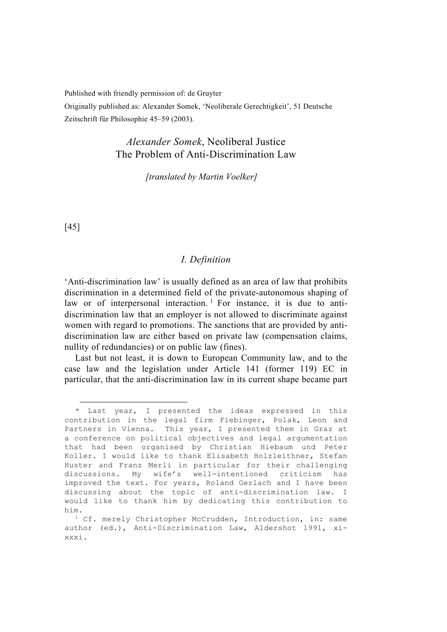Published with friendly permission of: de Gruyter

Originally published as: Alexander Somek, 'Neoliberale Gerechtigkeit', 51 Deutsche Zeitschrift für Philosophie 45–59 (2003).

# *Alexander Somek*, Neoliberal Justice The Problem of Anti-Discrimination Law

*[translated by Martin Voelker]*

[45]

## *I. Definition*

'Anti-discrimination law' is usually defined as an area of law that prohibits discrimination in a determined field of the private-autonomous shaping of law or of interpersonal interaction.<sup>1</sup> For instance, it is due to antidiscrimination law that an employer is not allowed to discriminate against women with regard to promotions. The sanctions that are provided by antidiscrimination law are either based on private law (compensation claims, nullity of redundancies) or on public law (fines).

Last but not least, it is down to European Community law, and to the case law and the legislation under Article 141 (former 119) EC in particular, that the anti-discrimination law in its current shape became part

<sup>\*</sup> Last year, I presented the ideas expressed in this contribution in the legal firm Fiebinger, Polak, Leon and Partners in Vienna. This year, I presented them in Graz at a conference on political objectives and legal argumentation that had been organised by Christian Hiebaum und Peter Koller. I would like to thank Elisabeth Holzleithner, Stefan Huster and Franz Merli in particular for their challenging discussions. My wife's well-intentioned criticism has improved the text. For years, Roland Gerlach and I have been discussing about the topic of anti-discrimination law. I would like to thank him by dedicating this contribution to him.<br><sup>1</sup> Cf. merely Christopher McCrudden, Introduction, in: same

author (ed.), Anti-Discrimination Law, Aldershot 1991, xixxxi.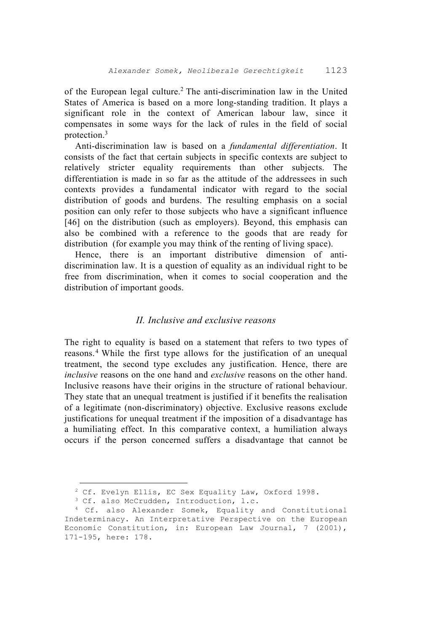of the European legal culture. <sup>2</sup> The anti-discrimination law in the United States of America is based on a more long-standing tradition. It plays a significant role in the context of American labour law, since it compensates in some ways for the lack of rules in the field of social protection. 3

Anti-discrimination law is based on a *fundamental differentiation*. It consists of the fact that certain subjects in specific contexts are subject to relatively stricter equality requirements than other subjects. The differentiation is made in so far as the attitude of the addressees in such contexts provides a fundamental indicator with regard to the social distribution of goods and burdens. The resulting emphasis on a social position can only refer to those subjects who have a significant influence [46] on the distribution (such as employers). Beyond, this emphasis can also be combined with a reference to the goods that are ready for distribution (for example you may think of the renting of living space).

Hence, there is an important distributive dimension of antidiscrimination law. It is a question of equality as an individual right to be free from discrimination, when it comes to social cooperation and the distribution of important goods.

#### *II. Inclusive and exclusive reasons*

The right to equality is based on a statement that refers to two types of reasons. <sup>4</sup> While the first type allows for the justification of an unequal treatment, the second type excludes any justification. Hence, there are *inclusive* reasons on the one hand and *exclusive* reasons on the other hand. Inclusive reasons have their origins in the structure of rational behaviour. They state that an unequal treatment is justified if it benefits the realisation of a legitimate (non-discriminatory) objective. Exclusive reasons exclude justifications for unequal treatment if the imposition of a disadvantage has a humiliating effect. In this comparative context, a humiliation always occurs if the person concerned suffers a disadvantage that cannot be

<sup>2</sup> Cf. Evelyn Ellis, EC Sex Equality Law, Oxford 1998.

<sup>3</sup> Cf. also McCrudden, Introduction, l.c.

<sup>4</sup> Cf. also Alexander Somek, Equality and Constitutional Indeterminacy. An Interpretative Perspective on the European Economic Constitution, in: European Law Journal, 7 (2001), 171-195, here: 178.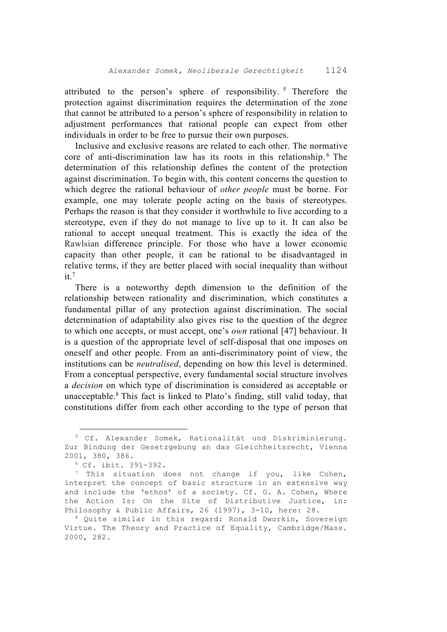attributed to the person's sphere of responsibility. <sup>5</sup> Therefore the protection against discrimination requires the determination of the zone that cannot be attributed to a person's sphere of responsibility in relation to adjustment performances that rational people can expect from other individuals in order to be free to pursue their own purposes.

Inclusive and exclusive reasons are related to each other. The normative core of anti-discrimination law has its roots in this relationship. <sup>6</sup> The determination of this relationship defines the content of the protection against discrimination. To begin with, this content concerns the question to which degree the rational behaviour of *other people* must be borne. For example, one may tolerate people acting on the basis of stereotypes. Perhaps the reason is that they consider it worthwhile to live according to a stereotype, even if they do not manage to live up to it. It can also be rational to accept unequal treatment. This is exactly the idea of the Rawlsian difference principle. For those who have a lower economic capacity than other people, it can be rational to be disadvantaged in relative terms, if they are better placed with social inequality than without it. 7

There is a noteworthy depth dimension to the definition of the relationship between rationality and discrimination, which constitutes a fundamental pillar of any protection against discrimination. The social determination of adaptability also gives rise to the question of the degree to which one accepts, or must accept, one's *own* rational [47] behaviour. It is a question of the appropriate level of self-disposal that one imposes on oneself and other people. From an anti-discriminatory point of view, the institutions can be *neutralised*, depending on how this level is determined. From a conceptual perspective, every fundamental social structure involves a *decision* on which type of discrimination is considered as acceptable or unacceptable. <sup>8</sup> This fact is linked to Plato's finding, still valid today, that constitutions differ from each other according to the type of person that

<sup>5</sup> Cf. Alexander Somek, Rationalität und Diskriminierung. Zur Bindung der Gesetzgebung an das Gleichheitsrecht, Vienna 2001, 380, 386.

<sup>6</sup> Cf. ibit. 391-392.

<sup>7</sup> This situation does not change if you, like Cohen, interpret the concept of basic structure in an extensive way and include the 'ethos' of a society. Cf. G. A. Cohen, Where the Action Is: On the Site of Distributive Justice, in: Philosophy & Public Affairs, 26 (1997), 3-10, here: 28.

<sup>8</sup> Quite similar in this regard: Ronald Dworkin, Sovereign Virtue. The Theory and Practice of Equality, Cambridge/Mass. 2000, 282.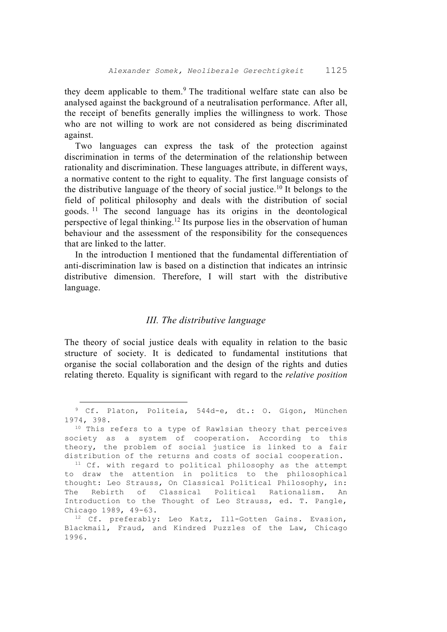they deem applicable to them. <sup>9</sup> The traditional welfare state can also be analysed against the background of a neutralisation performance. After all, the receipt of benefits generally implies the willingness to work. Those who are not willing to work are not considered as being discriminated against.

Two languages can express the task of the protection against discrimination in terms of the determination of the relationship between rationality and discrimination. These languages attribute, in different ways, a normative content to the right to equality. The first language consists of the distributive language of the theory of social justice.<sup>10</sup> It belongs to the field of political philosophy and deals with the distribution of social goods. <sup>11</sup> The second language has its origins in the deontological perspective of legal thinking.12 Its purpose lies in the observation of human behaviour and the assessment of the responsibility for the consequences that are linked to the latter.

In the introduction I mentioned that the fundamental differentiation of anti-discrimination law is based on a distinction that indicates an intrinsic distributive dimension. Therefore, I will start with the distributive language.

## *III. The distributive language*

The theory of social justice deals with equality in relation to the basic structure of society. It is dedicated to fundamental institutions that organise the social collaboration and the design of the rights and duties relating thereto. Equality is significant with regard to the *relative position*

<sup>9</sup> Cf. Platon, Politeia, 544d-e, dt.: O. Gigon, München 1974, 398.

<sup>&</sup>lt;sup>10</sup> This refers to a type of Rawlsian theory that perceives society as a system of cooperation. According to this theory, the problem of social justice is linked to a fair<br>distribution of the returns and costs of social cooperation.

 $11$  Cf. with regard to political philosophy as the attempt to draw the attention in politics to the philosophical thought: Leo Strauss, On Classical Political Philosophy, in: The Rebirth of Classical Political Rationalism. An Introduction to the Thought of Leo Strauss, ed. T. Pangle, Chicago 1989, 49-63.

<sup>12</sup> Cf. preferably: Leo Katz, Ill-Gotten Gains. Evasion, Blackmail, Fraud, and Kindred Puzzles of the Law, Chicago 1996.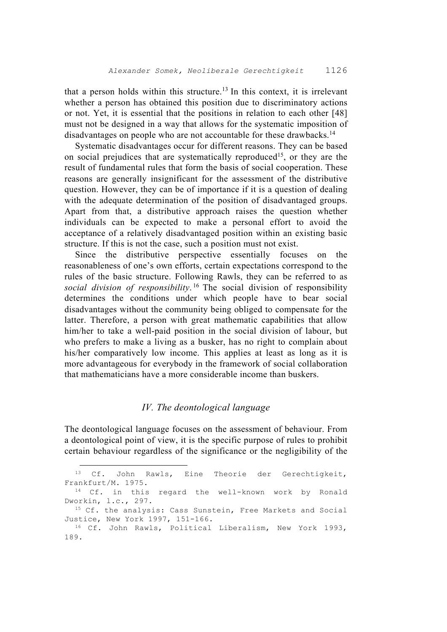that a person holds within this structure.13 In this context, it is irrelevant whether a person has obtained this position due to discriminatory actions or not. Yet, it is essential that the positions in relation to each other [48] must not be designed in a way that allows for the systematic imposition of disadvantages on people who are not accountable for these drawbacks. 14

Systematic disadvantages occur for different reasons. They can be based on social prejudices that are systematically reproduced<sup>15</sup>, or they are the result of fundamental rules that form the basis of social cooperation. These reasons are generally insignificant for the assessment of the distributive question. However, they can be of importance if it is a question of dealing with the adequate determination of the position of disadvantaged groups. Apart from that, a distributive approach raises the question whether individuals can be expected to make a personal effort to avoid the acceptance of a relatively disadvantaged position within an existing basic structure. If this is not the case, such a position must not exist.

Since the distributive perspective essentially focuses on the reasonableness of one's own efforts, certain expectations correspond to the rules of the basic structure. Following Rawls, they can be referred to as *social division of responsibility*. <sup>16</sup> The social division of responsibility determines the conditions under which people have to bear social disadvantages without the community being obliged to compensate for the latter. Therefore, a person with great mathematic capabilities that allow him/her to take a well-paid position in the social division of labour, but who prefers to make a living as a busker, has no right to complain about his/her comparatively low income. This applies at least as long as it is more advantageous for everybody in the framework of social collaboration that mathematicians have a more considerable income than buskers.

### *IV. The deontological language*

The deontological language focuses on the assessment of behaviour. From a deontological point of view, it is the specific purpose of rules to prohibit certain behaviour regardless of the significance or the negligibility of the

<sup>13</sup> Cf. John Rawls, Eine Theorie der Gerechtigkeit, Frankfurt/M. 1975. <sup>14</sup> Cf. in this regard the well-known work by Ronald Dworkin, l.c., 297. <sup>15</sup> Cf. the analysis: Cass Sunstein, Free Markets and Social Justice, New York 1997, 151-166. <sup>16</sup> Cf. John Rawls, Political Liberalism, New York 1993, 189.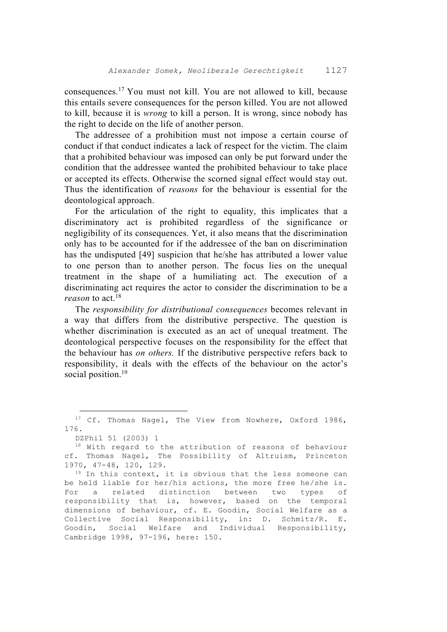consequences. <sup>17</sup> You must not kill. You are not allowed to kill, because this entails severe consequences for the person killed. You are not allowed to kill, because it is *wrong* to kill a person. It is wrong, since nobody has the right to decide on the life of another person.

The addressee of a prohibition must not impose a certain course of conduct if that conduct indicates a lack of respect for the victim. The claim that a prohibited behaviour was imposed can only be put forward under the condition that the addressee wanted the prohibited behaviour to take place or accepted its effects. Otherwise the scorned signal effect would stay out. Thus the identification of *reasons* for the behaviour is essential for the deontological approach.

For the articulation of the right to equality, this implicates that a discriminatory act is prohibited regardless of the significance or negligibility of its consequences. Yet, it also means that the discrimination only has to be accounted for if the addressee of the ban on discrimination has the undisputed [49] suspicion that he/she has attributed a lower value to one person than to another person. The focus lies on the unequal treatment in the shape of a humiliating act. The execution of a discriminating act requires the actor to consider the discrimination to be a *reason* to act. 18

The *responsibility for distributional consequences* becomes relevant in a way that differs from the distributive perspective. The question is whether discrimination is executed as an act of unequal treatment. The deontological perspective focuses on the responsibility for the effect that the behaviour has *on others.* If the distributive perspective refers back to responsibility, it deals with the effects of the behaviour on the actor's social position. 19

<sup>&</sup>lt;sup>17</sup> Cf. Thomas Nagel, The View from Nowhere, Oxford 1986, 176.

DZPhil 51 (2003) 1

<sup>18</sup> With regard to the attribution of reasons of behaviour cf. Thomas Nagel, The Possibility of Altruism, Princeton 1970, 47-48, 120, 129.

 $19$  In this context, it is obvious that the less someone can be held liable for her/his actions, the more free he/she is. For a related distinction between two types of responsibility that is, however, based on the temporal dimensions of behaviour, cf. E. Goodin, Social Welfare as a Collective Social Responsibility, in: D. Schmitz/R. E. Goodin, Social Welfare and Individual Responsibility, Cambridge 1998, 97-196, here: 150.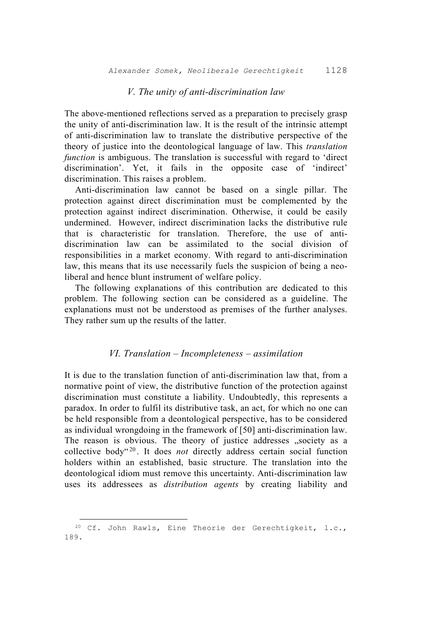#### *V. The unity of anti-discrimination law*

The above-mentioned reflections served as a preparation to precisely grasp the unity of anti-discrimination law. It is the result of the intrinsic attempt of anti-discrimination law to translate the distributive perspective of the theory of justice into the deontological language of law. This *translation function* is ambiguous. The translation is successful with regard to 'direct discrimination'. Yet, it fails in the opposite case of 'indirect' discrimination. This raises a problem.

Anti-discrimination law cannot be based on a single pillar. The protection against direct discrimination must be complemented by the protection against indirect discrimination. Otherwise, it could be easily undermined. However, indirect discrimination lacks the distributive rule that is characteristic for translation. Therefore, the use of antidiscrimination law can be assimilated to the social division of responsibilities in a market economy. With regard to anti-discrimination law, this means that its use necessarily fuels the suspicion of being a neoliberal and hence blunt instrument of welfare policy.

The following explanations of this contribution are dedicated to this problem. The following section can be considered as a guideline. The explanations must not be understood as premises of the further analyses. They rather sum up the results of the latter.

#### *VI. Translation – Incompleteness – assimilation*

It is due to the translation function of anti-discrimination law that, from a normative point of view, the distributive function of the protection against discrimination must constitute a liability. Undoubtedly, this represents a paradox. In order to fulfil its distributive task, an act, for which no one can be held responsible from a deontological perspective, has to be considered as individual wrongdoing in the framework of [50] anti-discrimination law. The reason is obvious. The theory of justice addresses "society as a collective body<sup>"20</sup>. It does *not* directly address certain social function holders within an established, basic structure. The translation into the deontological idiom must remove this uncertainty. Anti-discrimination law uses its addressees as *distribution agents* by creating liability and

<sup>20</sup> Cf. John Rawls, Eine Theorie der Gerechtigkeit, l.c., 189.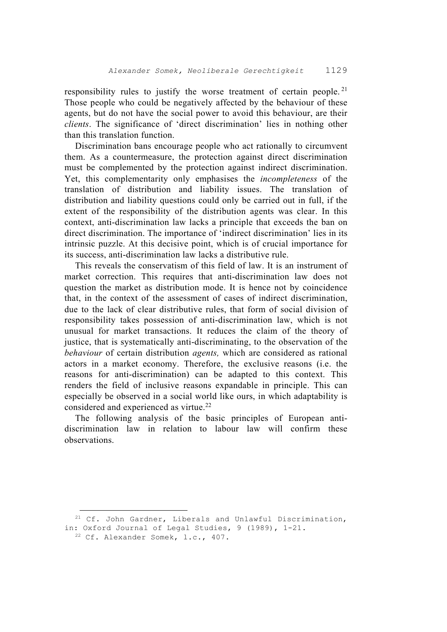responsibility rules to justify the worse treatment of certain people.<sup>21</sup> Those people who could be negatively affected by the behaviour of these agents, but do not have the social power to avoid this behaviour, are their *clients*. The significance of 'direct discrimination' lies in nothing other than this translation function.

Discrimination bans encourage people who act rationally to circumvent them. As a countermeasure, the protection against direct discrimination must be complemented by the protection against indirect discrimination. Yet, this complementarity only emphasises the *incompleteness* of the translation of distribution and liability issues. The translation of distribution and liability questions could only be carried out in full, if the extent of the responsibility of the distribution agents was clear. In this context, anti-discrimination law lacks a principle that exceeds the ban on direct discrimination. The importance of 'indirect discrimination' lies in its intrinsic puzzle. At this decisive point, which is of crucial importance for its success, anti-discrimination law lacks a distributive rule.

This reveals the conservatism of this field of law. It is an instrument of market correction. This requires that anti-discrimination law does not question the market as distribution mode. It is hence not by coincidence that, in the context of the assessment of cases of indirect discrimination, due to the lack of clear distributive rules, that form of social division of responsibility takes possession of anti-discrimination law, which is not unusual for market transactions. It reduces the claim of the theory of justice, that is systematically anti-discriminating, to the observation of the *behaviour* of certain distribution *agents,* which are considered as rational actors in a market economy. Therefore, the exclusive reasons (i.e. the reasons for anti-discrimination) can be adapted to this context. This renders the field of inclusive reasons expandable in principle. This can especially be observed in a social world like ours, in which adaptability is considered and experienced as virtue. 22

The following analysis of the basic principles of European antidiscrimination law in relation to labour law will confirm these observations.

<sup>21</sup> Cf. John Gardner, Liberals and Unlawful Discrimination, in: Oxford Journal of Legal Studies, 9 (1989), 1-21.

<sup>22</sup> Cf. Alexander Somek, l.c., 407.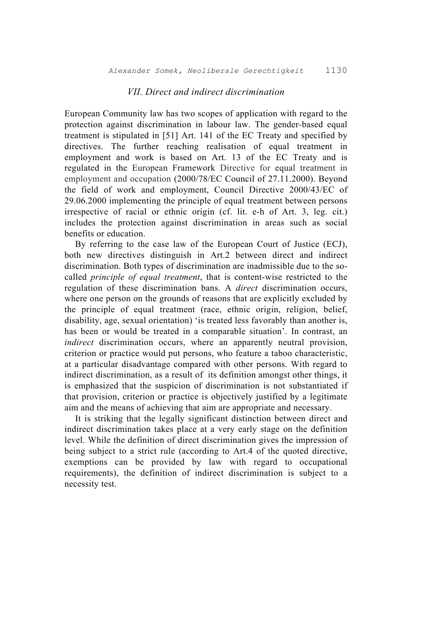### *VII. Direct and indirect discrimination*

European Community law has two scopes of application with regard to the protection against discrimination in labour law. The gender-based equal treatment is stipulated in [51] Art. 141 of the EC Treaty and specified by directives. The further reaching realisation of equal treatment in employment and work is based on Art. 13 of the EC Treaty and is regulated in the European Framework Directive for equal treatment in employment and occupation (2000/78/EC Council of 27.11.2000). Beyond the field of work and employment, Council Directive 2000/43/EC of 29.06.2000 implementing the principle of equal treatment between persons irrespective of racial or ethnic origin (cf. lit. e-h of Art. 3, leg. cit.) includes the protection against discrimination in areas such as social benefits or education.

By referring to the case law of the European Court of Justice (ECJ), both new directives distinguish in Art.2 between direct and indirect discrimination. Both types of discrimination are inadmissible due to the socalled *principle of equal treatment*, that is content-wise restricted to the regulation of these discrimination bans. A *direct* discrimination occurs, where one person on the grounds of reasons that are explicitly excluded by the principle of equal treatment (race, ethnic origin, religion, belief, disability, age, sexual orientation) 'is treated less favorably than another is, has been or would be treated in a comparable situation'. In contrast, an *indirect* discrimination occurs, where an apparently neutral provision, criterion or practice would put persons, who feature a taboo characteristic, at a particular disadvantage compared with other persons. With regard to indirect discrimination, as a result of its definition amongst other things, it is emphasized that the suspicion of discrimination is not substantiated if that provision, criterion or practice is objectively justified by a legitimate aim and the means of achieving that aim are appropriate and necessary.

It is striking that the legally significant distinction between direct and indirect discrimination takes place at a very early stage on the definition level. While the definition of direct discrimination gives the impression of being subject to a strict rule (according to Art.4 of the quoted directive, exemptions can be provided by law with regard to occupational requirements), the definition of indirect discrimination is subject to a necessity test.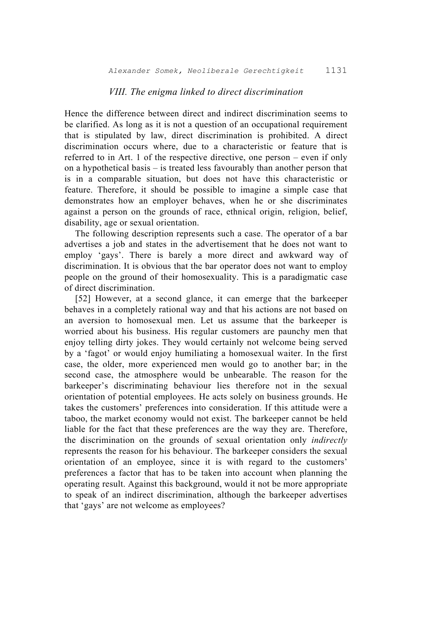#### *VIII. The enigma linked to direct discrimination*

Hence the difference between direct and indirect discrimination seems to be clarified. As long as it is not a question of an occupational requirement that is stipulated by law, direct discrimination is prohibited. A direct discrimination occurs where, due to a characteristic or feature that is referred to in Art. 1 of the respective directive, one person – even if only on a hypothetical basis – is treated less favourably than another person that is in a comparable situation, but does not have this characteristic or feature. Therefore, it should be possible to imagine a simple case that demonstrates how an employer behaves, when he or she discriminates against a person on the grounds of race, ethnical origin, religion, belief, disability, age or sexual orientation.

The following description represents such a case. The operator of a bar advertises a job and states in the advertisement that he does not want to employ 'gays'. There is barely a more direct and awkward way of discrimination. It is obvious that the bar operator does not want to employ people on the ground of their homosexuality. This is a paradigmatic case of direct discrimination.

[52] However, at a second glance, it can emerge that the barkeeper behaves in a completely rational way and that his actions are not based on an aversion to homosexual men. Let us assume that the barkeeper is worried about his business. His regular customers are paunchy men that enjoy telling dirty jokes. They would certainly not welcome being served by a 'fagot' or would enjoy humiliating a homosexual waiter. In the first case, the older, more experienced men would go to another bar; in the second case, the atmosphere would be unbearable. The reason for the barkeeper's discriminating behaviour lies therefore not in the sexual orientation of potential employees. He acts solely on business grounds. He takes the customers' preferences into consideration. If this attitude were a taboo, the market economy would not exist. The barkeeper cannot be held liable for the fact that these preferences are the way they are. Therefore, the discrimination on the grounds of sexual orientation only *indirectly*  represents the reason for his behaviour. The barkeeper considers the sexual orientation of an employee, since it is with regard to the customers' preferences a factor that has to be taken into account when planning the operating result. Against this background, would it not be more appropriate to speak of an indirect discrimination, although the barkeeper advertises that 'gays' are not welcome as employees?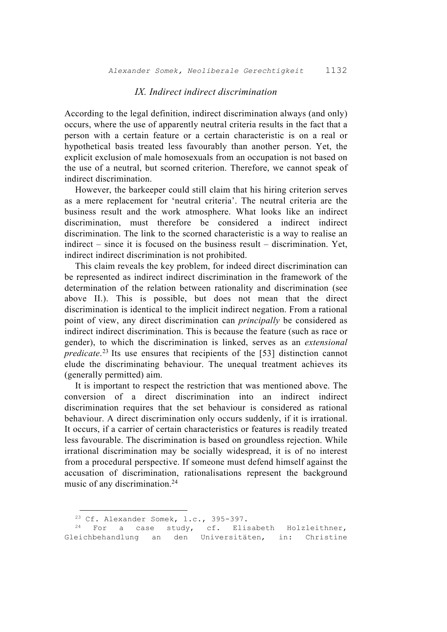#### *IX. Indirect indirect discrimination*

According to the legal definition, indirect discrimination always (and only) occurs, where the use of apparently neutral criteria results in the fact that a person with a certain feature or a certain characteristic is on a real or hypothetical basis treated less favourably than another person. Yet, the explicit exclusion of male homosexuals from an occupation is not based on the use of a neutral, but scorned criterion. Therefore, we cannot speak of indirect discrimination.

However, the barkeeper could still claim that his hiring criterion serves as a mere replacement for 'neutral criteria'. The neutral criteria are the business result and the work atmosphere. What looks like an indirect discrimination, must therefore be considered a indirect indirect discrimination. The link to the scorned characteristic is a way to realise an indirect – since it is focused on the business result – discrimination. Yet, indirect indirect discrimination is not prohibited.

This claim reveals the key problem, for indeed direct discrimination can be represented as indirect indirect discrimination in the framework of the determination of the relation between rationality and discrimination (see above II.). This is possible, but does not mean that the direct discrimination is identical to the implicit indirect negation. From a rational point of view, any direct discrimination can *principally* be considered as indirect indirect discrimination. This is because the feature (such as race or gender), to which the discrimination is linked, serves as an *extensional predicate*. <sup>23</sup> Its use ensures that recipients of the [53] distinction cannot elude the discriminating behaviour. The unequal treatment achieves its (generally permitted) aim.

It is important to respect the restriction that was mentioned above. The conversion of a direct discrimination into an indirect indirect discrimination requires that the set behaviour is considered as rational behaviour. A direct discrimination only occurs suddenly, if it is irrational. It occurs, if a carrier of certain characteristics or features is readily treated less favourable. The discrimination is based on groundless rejection. While irrational discrimination may be socially widespread, it is of no interest from a procedural perspective. If someone must defend himself against the accusation of discrimination, rationalisations represent the background music of any discrimination. 24

<sup>23</sup> Cf. Alexander Somek, l.c., 395-397.

 $24$  For a case study, cf. Elisabeth Holzleithner, Gleichbehandlung an den Universitäten, in: Christine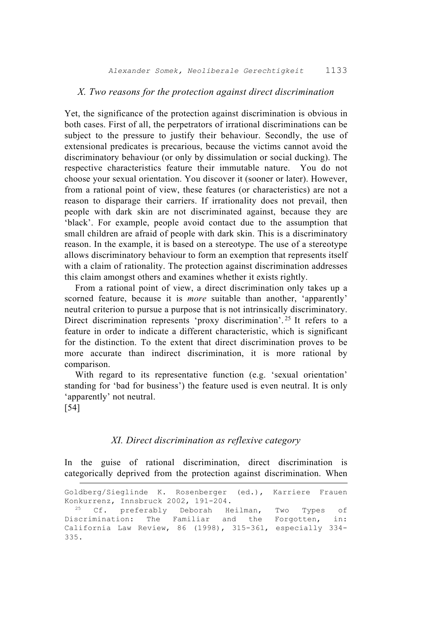#### *X. Two reasons for the protection against direct discrimination*

Yet, the significance of the protection against discrimination is obvious in both cases. First of all, the perpetrators of irrational discriminations can be subject to the pressure to justify their behaviour. Secondly, the use of extensional predicates is precarious, because the victims cannot avoid the discriminatory behaviour (or only by dissimulation or social ducking). The respective characteristics feature their immutable nature. You do not choose your sexual orientation. You discover it (sooner or later). However, from a rational point of view, these features (or characteristics) are not a reason to disparage their carriers. If irrationality does not prevail, then people with dark skin are not discriminated against, because they are 'black'. For example, people avoid contact due to the assumption that small children are afraid of people with dark skin. This is a discriminatory reason. In the example, it is based on a stereotype. The use of a stereotype allows discriminatory behaviour to form an exemption that represents itself with a claim of rationality. The protection against discrimination addresses this claim amongst others and examines whether it exists rightly.

From a rational point of view, a direct discrimination only takes up a scorned feature, because it is *more* suitable than another, 'apparently' neutral criterion to pursue a purpose that is not intrinsically discriminatory. Direct discrimination represents 'proxy discrimination'.<sup>25</sup> It refers to a feature in order to indicate a different characteristic, which is significant for the distinction. To the extent that direct discrimination proves to be more accurate than indirect discrimination, it is more rational by comparison.

With regard to its representative function (e.g. 'sexual orientation' standing for 'bad for business') the feature used is even neutral. It is only 'apparently' not neutral.

[54]

#### *XI. Direct discrimination as reflexive category*

In the guise of rational discrimination, direct discrimination is categorically deprived from the protection against discrimination. When

Goldberg/Sieglinde K. Rosenberger (ed.), Karriere Frauen Konkurrenz, Innsbruck 2002, 191-204. <sup>25</sup> Cf. preferably Deborah Heilman, Two Types of Discrimination: The Familiar and the Forgotten, in: California Law Review, 86 (1998), 315-361, especially 334- 335.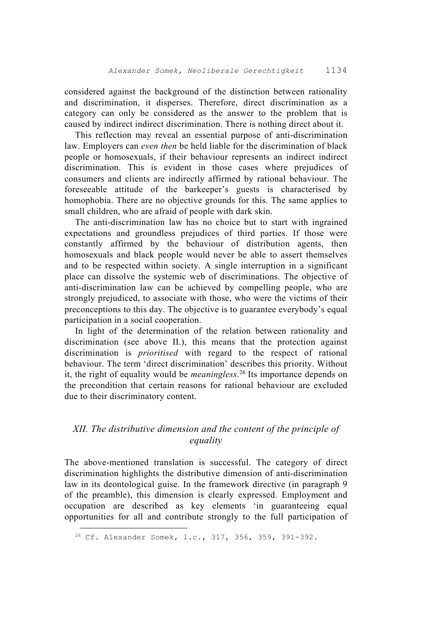considered against the background of the distinction between rationality and discrimination, it disperses. Therefore, direct discrimination as a category can only be considered as the answer to the problem that is caused by indirect indirect discrimination. There is nothing direct about it.

This reflection may reveal an essential purpose of anti-discrimination law. Employers can *even then* be held liable for the discrimination of black people or homosexuals, if their behaviour represents an indirect indirect discrimination. This is evident in those cases where prejudices of consumers and clients are indirectly affirmed by rational behaviour. The foreseeable attitude of the barkeeper's guests is characterised by homophobia. There are no objective grounds for this. The same applies to small children, who are afraid of people with dark skin.

The anti-discrimination law has no choice but to start with ingrained expectations and groundless prejudices of third parties. If those were constantly affirmed by the behaviour of distribution agents, then homosexuals and black people would never be able to assert themselves and to be respected within society. A single interruption in a significant place can dissolve the systemic web of discriminations. The objective of anti-discrimination law can be achieved by compelling people, who are strongly prejudiced, to associate with those, who were the victims of their preconceptions to this day. The objective is to guarantee everybody's equal participation in a social cooperation.

In light of the determination of the relation between rationality and discrimination (see above II.), this means that the protection against discrimination is *prioritised* with regard to the respect of rational behaviour. The term 'direct discrimination' describes this priority. Without it, the right of equality would be *meaningless*. <sup>26</sup> Its importance depends on the precondition that certain reasons for rational behaviour are excluded due to their discriminatory content.

## *XII. The distributive dimension and the content of the principle of equality*

The above-mentioned translation is successful. The category of direct discrimination highlights the distributive dimension of anti-discrimination law in its deontological guise. In the framework directive (in paragraph 9 of the preamble), this dimension is clearly expressed. Employment and occupation are described as key elements 'in guaranteeing equal opportunities for all and contribute strongly to the full participation of

<sup>26</sup> Cf. Alexander Somek, l.c., 317, 356, 359, 391-392.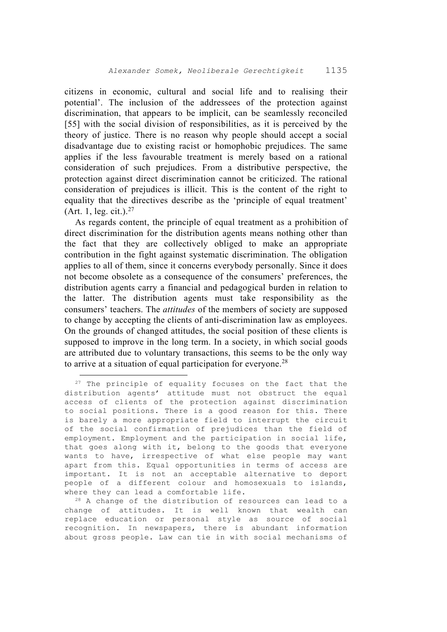citizens in economic, cultural and social life and to realising their potential'. The inclusion of the addressees of the protection against discrimination, that appears to be implicit, can be seamlessly reconciled [55] with the social division of responsibilities, as it is perceived by the theory of justice. There is no reason why people should accept a social disadvantage due to existing racist or homophobic prejudices. The same applies if the less favourable treatment is merely based on a rational consideration of such prejudices. From a distributive perspective, the protection against direct discrimination cannot be criticized. The rational consideration of prejudices is illicit. This is the content of the right to equality that the directives describe as the 'principle of equal treatment' (Art. 1, leg. cit.). $27$ 

As regards content, the principle of equal treatment as a prohibition of direct discrimination for the distribution agents means nothing other than the fact that they are collectively obliged to make an appropriate contribution in the fight against systematic discrimination. The obligation applies to all of them, since it concerns everybody personally. Since it does not become obsolete as a consequence of the consumers' preferences, the distribution agents carry a financial and pedagogical burden in relation to the latter. The distribution agents must take responsibility as the consumers' teachers. The *attitudes* of the members of society are supposed to change by accepting the clients of anti-discrimination law as employees. On the grounds of changed attitudes, the social position of these clients is supposed to improve in the long term. In a society, in which social goods are attributed due to voluntary transactions, this seems to be the only way to arrive at a situation of equal participation for everyone.<sup>28</sup>

 $27$  The principle of equality focuses on the fact that the distribution agents' attitude must not obstruct the equal access of clients of the protection against discrimination to social positions. There is a good reason for this. There is barely a more appropriate field to interrupt the circuit of the social confirmation of prejudices than the field of employment. Employment and the participation in social life, that goes along with it, belong to the goods that everyone wants to have, irrespective of what else people may want apart from this. Equal opportunities in terms of access are important. It is not an acceptable alternative to deport people of a different colour and homosexuals to islands, where they can lead a comfortable life.

<sup>28</sup> A change of the distribution of resources can lead to a change of attitudes. It is well known that wealth can replace education or personal style as source of social recognition. In newspapers, there is abundant information about gross people. Law can tie in with social mechanisms of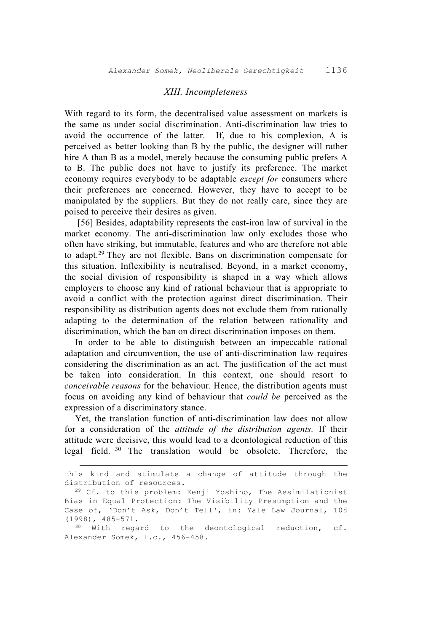### *XIII. Incompleteness*

With regard to its form, the decentralised value assessment on markets is the same as under social discrimination. Anti-discrimination law tries to avoid the occurrence of the latter. If, due to his complexion, A is perceived as better looking than B by the public, the designer will rather hire A than B as a model, merely because the consuming public prefers A to B. The public does not have to justify its preference. The market economy requires everybody to be adaptable *except for* consumers where their preferences are concerned. However, they have to accept to be manipulated by the suppliers. But they do not really care, since they are poised to perceive their desires as given.

[56] Besides, adaptability represents the cast-iron law of survival in the market economy. The anti-discrimination law only excludes those who often have striking, but immutable, features and who are therefore not able to adapt. <sup>29</sup> They are not flexible. Bans on discrimination compensate for this situation. Inflexibility is neutralised. Beyond, in a market economy, the social division of responsibility is shaped in a way which allows employers to choose any kind of rational behaviour that is appropriate to avoid a conflict with the protection against direct discrimination. Their responsibility as distribution agents does not exclude them from rationally adapting to the determination of the relation between rationality and discrimination, which the ban on direct discrimination imposes on them.

In order to be able to distinguish between an impeccable rational adaptation and circumvention, the use of anti-discrimination law requires considering the discrimination as an act. The justification of the act must be taken into consideration. In this context, one should resort to *conceivable reasons* for the behaviour. Hence, the distribution agents must focus on avoiding any kind of behaviour that *could be* perceived as the expression of a discriminatory stance.

Yet, the translation function of anti-discrimination law does not allow for a consideration of the *attitude of the distribution agents.* If their attitude were decisive, this would lead to a deontological reduction of this legal field. <sup>30</sup> The translation would be obsolete. Therefore, the

Bias in Equal Protection: The Visibility Presumption and the Case of, 'Don't Ask, Don't Tell', in: Yale Law Journal, 108 (1998), 485-571.

<sup>30</sup> With regard to the deontological reduction, cf. Alexander Somek, l.c., 456-458.

this kind and stimulate a change of attitude through the distribution of resources.<br><sup>29</sup> Cf. to this problem: Kenji Yoshino, The Assimilationist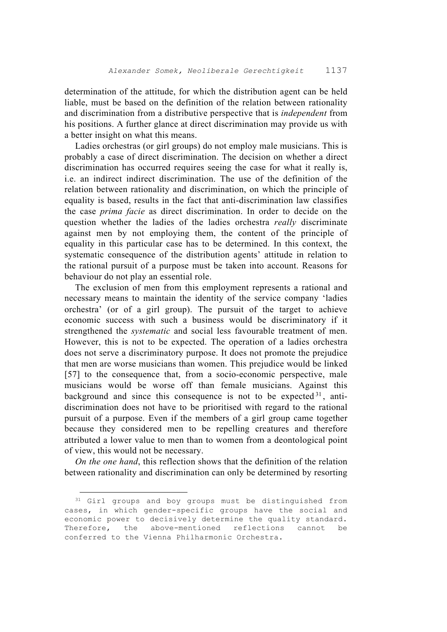determination of the attitude, for which the distribution agent can be held liable, must be based on the definition of the relation between rationality and discrimination from a distributive perspective that is *independent* from his positions. A further glance at direct discrimination may provide us with a better insight on what this means.

Ladies orchestras (or girl groups) do not employ male musicians. This is probably a case of direct discrimination. The decision on whether a direct discrimination has occurred requires seeing the case for what it really is, i.e. an indirect indirect discrimination. The use of the definition of the relation between rationality and discrimination, on which the principle of equality is based, results in the fact that anti-discrimination law classifies the case *prima facie* as direct discrimination. In order to decide on the question whether the ladies of the ladies orchestra *really* discriminate against men by not employing them, the content of the principle of equality in this particular case has to be determined. In this context, the systematic consequence of the distribution agents' attitude in relation to the rational pursuit of a purpose must be taken into account. Reasons for behaviour do not play an essential role.

The exclusion of men from this employment represents a rational and necessary means to maintain the identity of the service company 'ladies orchestra' (or of a girl group). The pursuit of the target to achieve economic success with such a business would be discriminatory if it strengthened the *systematic* and social less favourable treatment of men. However, this is not to be expected. The operation of a ladies orchestra does not serve a discriminatory purpose. It does not promote the prejudice that men are worse musicians than women. This prejudice would be linked [57] to the consequence that, from a socio-economic perspective, male musicians would be worse off than female musicians. Against this background and since this consequence is not to be expected  $31$ , antidiscrimination does not have to be prioritised with regard to the rational pursuit of a purpose. Even if the members of a girl group came together because they considered men to be repelling creatures and therefore attributed a lower value to men than to women from a deontological point of view, this would not be necessary.

*On the one hand*, this reflection shows that the definition of the relation between rationality and discrimination can only be determined by resorting

<sup>&</sup>lt;sup>31</sup> Girl groups and boy groups must be distinguished from cases, in which gender-specific groups have the social and economic power to decisively determine the quality standard. Therefore, the above-mentioned reflections cannot be conferred to the Vienna Philharmonic Orchestra.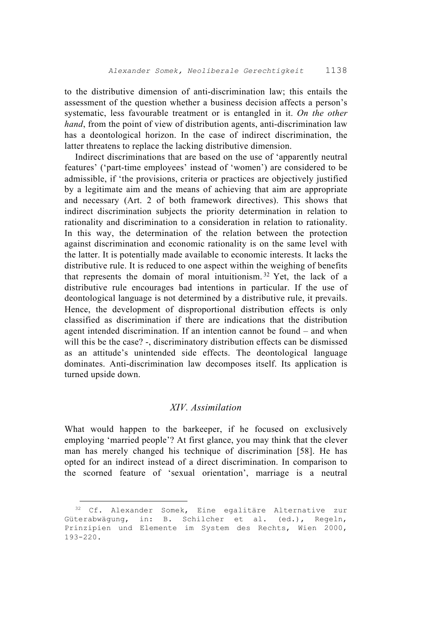to the distributive dimension of anti-discrimination law; this entails the assessment of the question whether a business decision affects a person's systematic, less favourable treatment or is entangled in it. *On the other hand*, from the point of view of distribution agents, anti-discrimination law has a deontological horizon. In the case of indirect discrimination, the latter threatens to replace the lacking distributive dimension.

Indirect discriminations that are based on the use of 'apparently neutral features' ('part-time employees' instead of 'women') are considered to be admissible, if 'the provisions, criteria or practices are objectively justified by a legitimate aim and the means of achieving that aim are appropriate and necessary (Art. 2 of both framework directives). This shows that indirect discrimination subjects the priority determination in relation to rationality and discrimination to a consideration in relation to rationality. In this way, the determination of the relation between the protection against discrimination and economic rationality is on the same level with the latter. It is potentially made available to economic interests. It lacks the distributive rule. It is reduced to one aspect within the weighing of benefits that represents the domain of moral intuitionism.<sup>32</sup> Yet, the lack of a distributive rule encourages bad intentions in particular. If the use of deontological language is not determined by a distributive rule, it prevails. Hence, the development of disproportional distribution effects is only classified as discrimination if there are indications that the distribution agent intended discrimination. If an intention cannot be found – and when will this be the case? -, discriminatory distribution effects can be dismissed as an attitude's unintended side effects. The deontological language dominates. Anti-discrimination law decomposes itself. Its application is turned upside down.

## *XIV. Assimilation*

What would happen to the barkeeper, if he focused on exclusively employing 'married people'? At first glance, you may think that the clever man has merely changed his technique of discrimination [58]. He has opted for an indirect instead of a direct discrimination. In comparison to the scorned feature of 'sexual orientation', marriage is a neutral

<sup>32</sup> Cf. Alexander Somek, Eine egalitäre Alternative zur Güterabwägung, in: B. Schilcher et al. (ed.), Regeln, Prinzipien und Elemente im System des Rechts, Wien 2000, 193-220.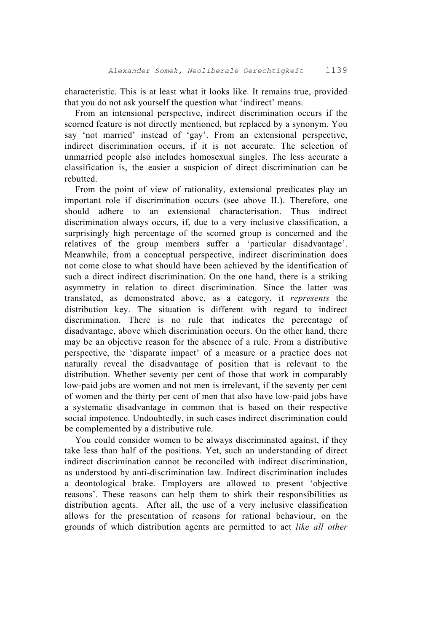characteristic. This is at least what it looks like. It remains true, provided that you do not ask yourself the question what 'indirect' means.

From an intensional perspective, indirect discrimination occurs if the scorned feature is not directly mentioned, but replaced by a synonym. You say 'not married' instead of 'gay'. From an extensional perspective, indirect discrimination occurs, if it is not accurate. The selection of unmarried people also includes homosexual singles. The less accurate a classification is, the easier a suspicion of direct discrimination can be rebutted.

From the point of view of rationality, extensional predicates play an important role if discrimination occurs (see above II.). Therefore, one should adhere to an extensional characterisation. Thus indirect discrimination always occurs, if, due to a very inclusive classification, a surprisingly high percentage of the scorned group is concerned and the relatives of the group members suffer a 'particular disadvantage'. Meanwhile, from a conceptual perspective, indirect discrimination does not come close to what should have been achieved by the identification of such a direct indirect discrimination. On the one hand, there is a striking asymmetry in relation to direct discrimination. Since the latter was translated, as demonstrated above, as a category, it *represents* the distribution key. The situation is different with regard to indirect discrimination. There is no rule that indicates the percentage of disadvantage, above which discrimination occurs. On the other hand, there may be an objective reason for the absence of a rule. From a distributive perspective, the 'disparate impact' of a measure or a practice does not naturally reveal the disadvantage of position that is relevant to the distribution. Whether seventy per cent of those that work in comparably low-paid jobs are women and not men is irrelevant, if the seventy per cent of women and the thirty per cent of men that also have low-paid jobs have a systematic disadvantage in common that is based on their respective social impotence. Undoubtedly, in such cases indirect discrimination could be complemented by a distributive rule.

You could consider women to be always discriminated against, if they take less than half of the positions. Yet, such an understanding of direct indirect discrimination cannot be reconciled with indirect discrimination, as understood by anti-discrimination law. Indirect discrimination includes a deontological brake. Employers are allowed to present 'objective reasons'. These reasons can help them to shirk their responsibilities as distribution agents. After all, the use of a very inclusive classification allows for the presentation of reasons for rational behaviour, on the grounds of which distribution agents are permitted to act *like all other*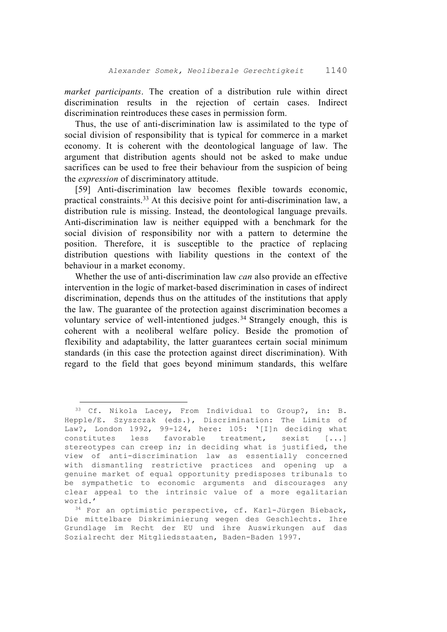*market participants*. The creation of a distribution rule within direct discrimination results in the rejection of certain cases. Indirect discrimination reintroduces these cases in permission form.

Thus, the use of anti-discrimination law is assimilated to the type of social division of responsibility that is typical for commerce in a market economy. It is coherent with the deontological language of law. The argument that distribution agents should not be asked to make undue sacrifices can be used to free their behaviour from the suspicion of being the *expression* of discriminatory attitude.

[59] Anti-discrimination law becomes flexible towards economic, practical constraints.<sup>33</sup> At this decisive point for anti-discrimination law, a distribution rule is missing. Instead, the deontological language prevails. Anti-discrimination law is neither equipped with a benchmark for the social division of responsibility nor with a pattern to determine the position. Therefore, it is susceptible to the practice of replacing distribution questions with liability questions in the context of the behaviour in a market economy.

Whether the use of anti-discrimination law *can* also provide an effective intervention in the logic of market-based discrimination in cases of indirect discrimination, depends thus on the attitudes of the institutions that apply the law. The guarantee of the protection against discrimination becomes a voluntary service of well-intentioned judges.<sup>34</sup> Strangely enough, this is coherent with a neoliberal welfare policy. Beside the promotion of flexibility and adaptability, the latter guarantees certain social minimum standards (in this case the protection against direct discrimination). With regard to the field that goes beyond minimum standards, this welfare

<sup>33</sup> Cf. Nikola Lacey, From Individual to Group?, in: B. Hepple/E. Szyszczak (eds.), Discrimination: The Limits of Law?, London 1992, 99-124, here: 105: '[I]n deciding what constitutes less favorable treatment, sexist [...] stereotypes can creep in; in deciding what is justified, the view of anti-discrimination law as essentially concerned with dismantling restrictive practices and opening up a genuine market of equal opportunity predisposes tribunals to be sympathetic to economic arguments and discourages any clear appeal to the intrinsic value of a more egalitarian world.'

<sup>34</sup> For an optimistic perspective, cf. Karl-Jürgen Bieback, Die mittelbare Diskriminierung wegen des Geschlechts. Ihre Grundlage im Recht der EU und ihre Auswirkungen auf das Sozialrecht der Mitgliedsstaaten, Baden-Baden 1997.